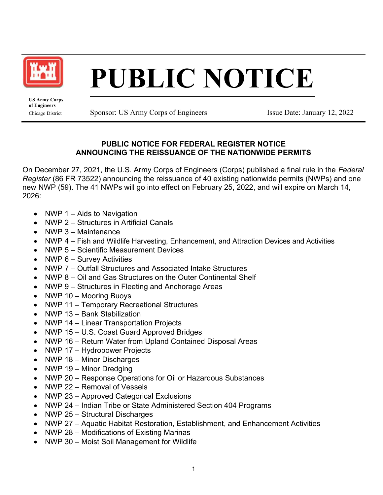

## PUBLIC NOTICE

US Army Corps of Engineers

Chicago District Sponsor: US Army Corps of Engineers Issue Date: January 12, 2022

## PUBLIC NOTICE FOR FEDERAL REGISTER NOTICE ANNOUNCING THE REISSUANCE OF THE NATIONWIDE PERMITS

On December 27, 2021, the U.S. Army Corps of Engineers (Corps) published a final rule in the Federal Register (86 FR 73522) announcing the reissuance of 40 existing nationwide permits (NWPs) and one new NWP (59). The 41 NWPs will go into effect on February 25, 2022, and will expire on March 14, 2026:

- NWP 1 Aids to Navigation
- NWP 2 Structures in Artificial Canals
- NWP 3 Maintenance
- NWP 4 Fish and Wildlife Harvesting, Enhancement, and Attraction Devices and Activities
- NWP 5 Scientific Measurement Devices
- NWP 6 Survey Activities
- NWP 7 Outfall Structures and Associated Intake Structures
- NWP 8 Oil and Gas Structures on the Outer Continental Shelf
- NWP 9 Structures in Fleeting and Anchorage Areas
- NWP 10 Mooring Buoys
- NWP 11 Temporary Recreational Structures
- NWP 13 Bank Stabilization
- NWP 14 Linear Transportation Projects
- $\bullet$ NWP 15 – U.S. Coast Guard Approved Bridges
- $\bullet$ NWP 16 – Return Water from Upland Contained Disposal Areas
- NWP 17 Hydropower Projects
- NWP 18 Minor Discharges
- NWP 19 Minor Dredging
- NWP 20 Response Operations for Oil or Hazardous Substances
- NWP 22 Removal of Vessels
- NWP 23 Approved Categorical Exclusions
- NWP 24 Indian Tribe or State Administered Section 404 Programs
- NWP 25 Structural Discharges
- NWP 27 Aquatic Habitat Restoration, Establishment, and Enhancement Activities
- NWP 28 Modifications of Existing Marinas
- NWP 30 Moist Soil Management for Wildlife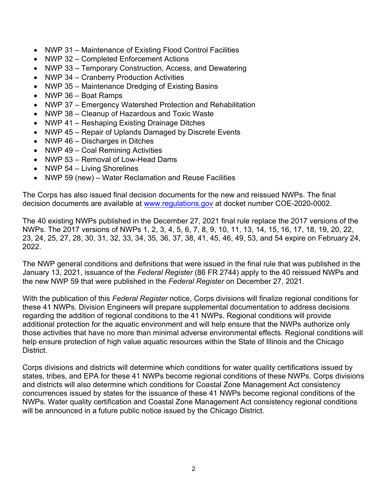- $\bullet$ NWP 31 – Maintenance of Existing Flood Control Facilities
- NWP 32 Completed Enforcement Actions
- NWP 33 Temporary Construction, Access, and Dewatering
- NWP 34 Cranberry Production Activities
- NWP 35 Maintenance Dredging of Existing Basins
- NWP 36 Boat Ramps
- NWP 37 Emergency Watershed Protection and Rehabilitation
- NWP 38 Cleanup of Hazardous and Toxic Waste
- NWP 41 Reshaping Existing Drainage Ditches
- NWP 45 Repair of Uplands Damaged by Discrete Events
- NWP 46 Discharges in Ditches
- NWP 49 Coal Remining Activities
- NWP 53 Removal of Low-Head Dams
- NWP 54 Living Shorelines
- NWP 59 (new) Water Reclamation and Reuse Facilities

 The Corps has also issued final decision documents for the new and reissued NWPs. The final decision documents are available at <u><www.regulations.gov></u> at docket number COE-2020-0002.

 The 40 existing NWPs published in the December 27, 2021 final rule replace the 2017 versions of the NWPs. The 2017 versions of NWPs 1, 2, 3, 4, 5, 6, 7, 8, 9, 10, 11, 13, 14, 15, 16, 17, 18, 19, 20, 22, 23, 24, 25, 27, 28, 30, 31, 32, 33, 34, 35, 36, 37, 38, 41, 45, 46, 49, 53, and 54 expire on February 24, 2022.

 The NWP general conditions and definitions that were issued in the final rule that was published in the January 13, 2021, issuance of the *Federal Register* (86 FR 2744) apply to the 40 reissued NWPs and the new NWP 59 that were published in the *Federal Register* on December 27, 2021.

With the publication of this Federal Register notice, Corps divisions will finalize regional conditions for these 41 NWPs. Division Engineers will prepare supplemental documentation to address decisions regarding the addition of regional conditions to the 41 NWPs. Regional conditions will provide additional protection for the aquatic environment and will help ensure that the NWPs authorize only those activities that have no more than minimal adverse environmental effects. Regional conditions will help ensure protection of high value aquatic resources within the State of Illinois and the Chicago District.

 Corps divisions and districts will determine which conditions for water quality certifications issued by states, tribes, and EPA for these 41 NWPs become regional conditions of these NWPs. Corps divisions and districts will also determine which conditions for Coastal Zone Management Act consistency concurrences issued by states for the issuance of these 41 NWPs become regional conditions of the NWPs. Water quality certification and Coastal Zone Management Act consistency regional conditions will be announced in a future public notice issued by the Chicago District.